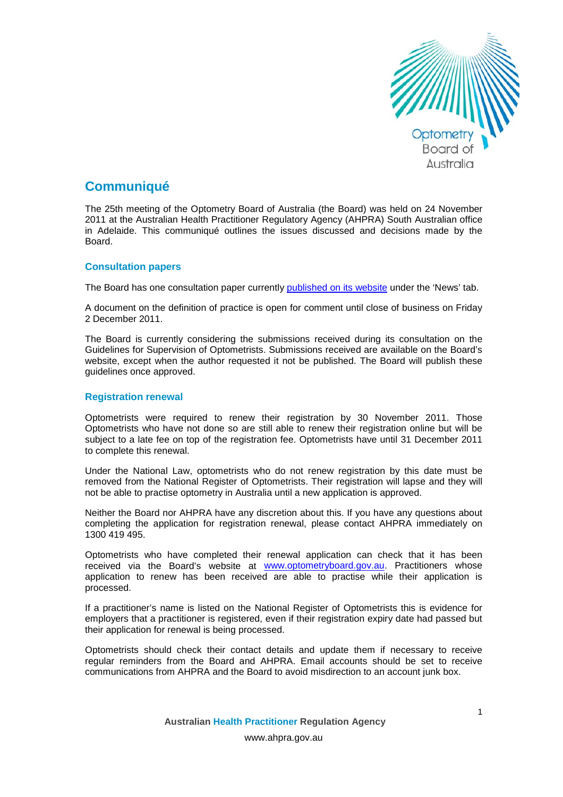

# **Communiqué**

The 25th meeting of the Optometry Board of Australia (the Board) was held on 24 November 2011 at the Australian Health Practitioner Regulatory Agency (AHPRA) South Australian office in Adelaide. This communiqué outlines the issues discussed and decisions made by the Board.

# **Consultation papers**

The Board has one consultation paper currently [published on its website](http://www.optometryboard.gov.au/News/Current-Consultations.aspx) under the 'News' tab.

A document on the definition of practice is open for comment until close of business on Friday 2 December 2011.

The Board is currently considering the submissions received during its consultation on the Guidelines for Supervision of Optometrists. Submissions received are available on the Board's website, except when the author requested it not be published. The Board will publish these guidelines once approved.

### **Registration renewal**

Optometrists were required to renew their registration by 30 November 2011. Those Optometrists who have not done so are still able to renew their registration online but will be subject to a late fee on top of the registration fee. Optometrists have until 31 December 2011 to complete this renewal.

Under the National Law, optometrists who do not renew registration by this date must be removed from the National Register of Optometrists. Their registration will lapse and they will not be able to practise optometry in Australia until a new application is approved.

Neither the Board nor AHPRA have any discretion about this. If you have any questions about completing the application for registration renewal, please contact AHPRA immediately on 1300 419 495.

Optometrists who have completed their renewal application can check that it has been received via the Board's website at [www.optometryboard.gov.au.](http://www.optometryboard.gov.au/) Practitioners whose application to renew has been received are able to practise while their application is processed.

If a practitioner's name is listed on the National Register of Optometrists this is evidence for employers that a practitioner is registered, even if their registration expiry date had passed but their application for renewal is being processed.

Optometrists should check their contact details and update them if necessary to receive regular reminders from the Board and AHPRA. Email accounts should be set to receive communications from AHPRA and the Board to avoid misdirection to an account junk box.